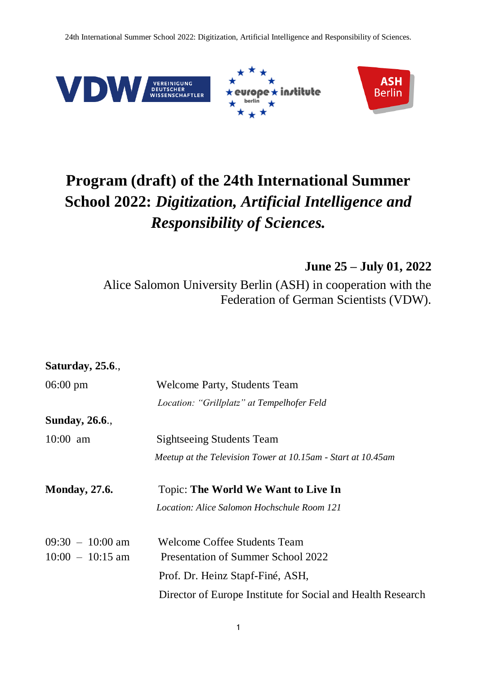24th International Summer School 2022: Digitization, Artificial Intelligence and Responsibility of Sciences.



## **Program (draft) of the 24th International Summer School 2022:** *Digitization, Artificial Intelligence and Responsibility of Sciences.*

**June 25 – July 01, 2022**

Alice Salomon University Berlin (ASH) in cooperation with the Federation of German Scientists (VDW).

| <b>Saturday</b> , 25.6.,                 |                                                                                                               |
|------------------------------------------|---------------------------------------------------------------------------------------------------------------|
| $06:00 \text{ pm}$                       | Welcome Party, Students Team                                                                                  |
|                                          | Location: "Grillplatz" at Tempelhofer Feld                                                                    |
| <b>Sunday</b> , 26.6.,                   |                                                                                                               |
| $10:00$ am                               | <b>Sightseeing Students Team</b>                                                                              |
|                                          | Meetup at the Television Tower at 10.15am - Start at 10.45am                                                  |
| <b>Monday</b> , 27.6.                    | Topic: The World We Want to Live In<br>Location: Alice Salomon Hochschule Room 121                            |
| $09:30 - 10:00$ am<br>$10:00 - 10:15$ am | <b>Welcome Coffee Students Team</b><br>Presentation of Summer School 2022<br>Prof. Dr. Heinz Stapf-Finé, ASH, |
|                                          | Director of Europe Institute for Social and Health Research                                                   |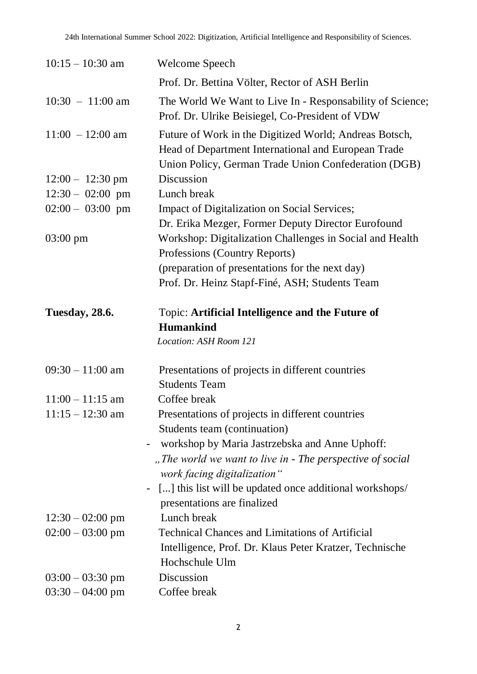| $10:15 - 10:30$ am         | Welcome Speech                                                                                                                                                        |
|----------------------------|-----------------------------------------------------------------------------------------------------------------------------------------------------------------------|
|                            | Prof. Dr. Bettina Völter, Rector of ASH Berlin                                                                                                                        |
| $10:30 - 11:00$ am         | The World We Want to Live In - Responsability of Science;<br>Prof. Dr. Ulrike Beisiegel, Co-President of VDW                                                          |
| $11:00 - 12:00$ am         | Future of Work in the Digitized World; Andreas Botsch,<br>Head of Department International and European Trade<br>Union Policy, German Trade Union Confederation (DGB) |
| $12:00 - 12:30 \text{ pm}$ | Discussion                                                                                                                                                            |
| $12:30 - 02:00$ pm         | Lunch break                                                                                                                                                           |
| $02:00 - 03:00$ pm         | Impact of Digitalization on Social Services;                                                                                                                          |
| $03:00 \text{ pm}$         | Dr. Erika Mezger, Former Deputy Director Eurofound<br>Workshop: Digitalization Challenges in Social and Health<br>Professions (Country Reports)                       |
|                            | (preparation of presentations for the next day)                                                                                                                       |
|                            | Prof. Dr. Heinz Stapf-Finé, ASH; Students Team                                                                                                                        |
| <b>Tuesday, 28.6.</b>      | Topic: Artificial Intelligence and the Future of<br><b>Humankind</b><br>Location: ASH Room 121                                                                        |
| $09:30 - 11:00$ am         | Presentations of projects in different countries<br><b>Students Team</b>                                                                                              |
| $11:00 - 11:15$ am         | Coffee break                                                                                                                                                          |
| $11:15 - 12:30$ am         | Presentations of projects in different countries                                                                                                                      |
|                            | Students team (continuation)                                                                                                                                          |
|                            | workshop by Maria Jastrzebska and Anne Uphoff:                                                                                                                        |
|                            | "The world we want to live in - The perspective of social<br>work facing digitalization"                                                                              |
|                            | [] this list will be updated once additional workshops/                                                                                                               |
|                            | presentations are finalized                                                                                                                                           |
| $12:30 - 02:00$ pm         | Lunch break                                                                                                                                                           |
| $02:00 - 03:00$ pm         | <b>Technical Chances and Limitations of Artificial</b>                                                                                                                |
|                            | Intelligence, Prof. Dr. Klaus Peter Kratzer, Technische<br>Hochschule Ulm                                                                                             |
| $03:00 - 03:30$ pm         | Discussion                                                                                                                                                            |
| $03:30 - 04:00$ pm         | Coffee break                                                                                                                                                          |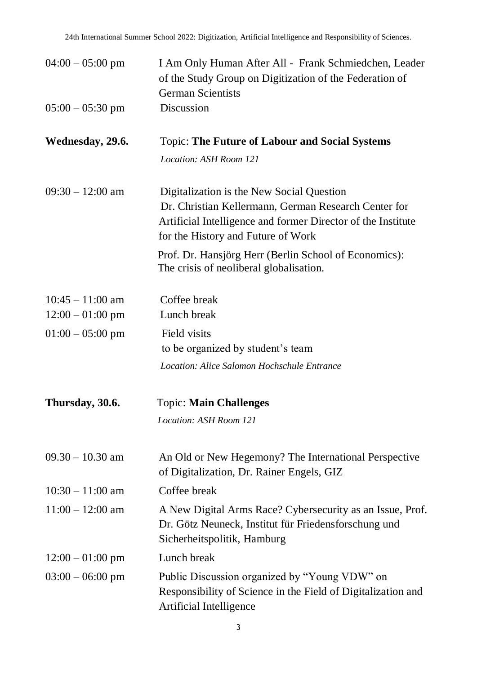| $04:00 - 05:00 \text{ pm}$ | I Am Only Human After All - Frank Schmiedchen, Leader<br>of the Study Group on Digitization of the Federation of<br><b>German Scientists</b>               |
|----------------------------|------------------------------------------------------------------------------------------------------------------------------------------------------------|
| $05:00 - 05:30$ pm         | Discussion                                                                                                                                                 |
| Wednesday, 29.6.           | <b>Topic: The Future of Labour and Social Systems</b>                                                                                                      |
|                            | Location: ASH Room 121                                                                                                                                     |
| $09:30 - 12:00$ am         | Digitalization is the New Social Question                                                                                                                  |
|                            | Dr. Christian Kellermann, German Research Center for<br>Artificial Intelligence and former Director of the Institute<br>for the History and Future of Work |
|                            | Prof. Dr. Hansjörg Herr (Berlin School of Economics):<br>The crisis of neoliberal globalisation.                                                           |
| $10:45 - 11:00$ am         | Coffee break                                                                                                                                               |
| $12:00 - 01:00$ pm         | Lunch break                                                                                                                                                |
| $01:00 - 05:00$ pm         | Field visits                                                                                                                                               |
|                            | to be organized by student's team                                                                                                                          |
|                            | Location: Alice Salomon Hochschule Entrance                                                                                                                |
| Thursday, 30.6.            | <b>Topic: Main Challenges</b>                                                                                                                              |
|                            | Location: ASH Room 121                                                                                                                                     |
| $09.30 - 10.30$ am         | An Old or New Hegemony? The International Perspective<br>of Digitalization, Dr. Rainer Engels, GIZ                                                         |
| $10:30 - 11:00$ am         | Coffee break                                                                                                                                               |
| $11:00 - 12:00$ am         | A New Digital Arms Race? Cybersecurity as an Issue, Prof.<br>Dr. Götz Neuneck, Institut für Friedensforschung und<br>Sicherheitspolitik, Hamburg           |
| $12:00 - 01:00$ pm         | Lunch break                                                                                                                                                |
| $03:00 - 06:00$ pm         | Public Discussion organized by "Young VDW" on<br>Responsibility of Science in the Field of Digitalization and<br>Artificial Intelligence                   |